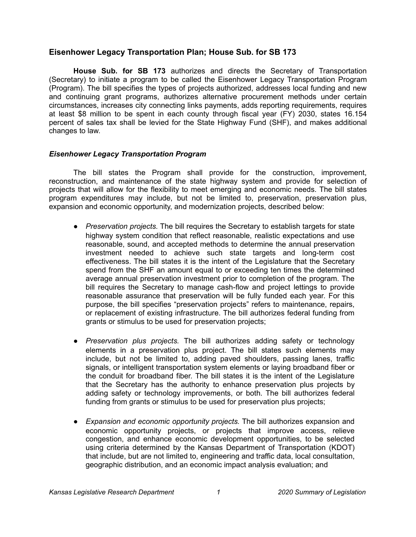# **Eisenhower Legacy Transportation Plan; House Sub. for SB 173**

**House Sub. for SB 173** authorizes and directs the Secretary of Transportation (Secretary) to initiate a program to be called the Eisenhower Legacy Transportation Program (Program). The bill specifies the types of projects authorized, addresses local funding and new and continuing grant programs, authorizes alternative procurement methods under certain circumstances, increases city connecting links payments, adds reporting requirements, requires at least \$8 million to be spent in each county through fiscal year (FY) 2030, states 16.154 percent of sales tax shall be levied for the State Highway Fund (SHF), and makes additional changes to law.

## *Eisenhower Legacy Transportation Program*

The bill states the Program shall provide for the construction, improvement, reconstruction, and maintenance of the state highway system and provide for selection of projects that will allow for the flexibility to meet emerging and economic needs. The bill states program expenditures may include, but not be limited to, preservation, preservation plus, expansion and economic opportunity, and modernization projects, described below:

- *Preservation projects.* The bill requires the Secretary to establish targets for state highway system condition that reflect reasonable, realistic expectations and use reasonable, sound, and accepted methods to determine the annual preservation investment needed to achieve such state targets and long-term cost effectiveness. The bill states it is the intent of the Legislature that the Secretary spend from the SHF an amount equal to or exceeding ten times the determined average annual preservation investment prior to completion of the program. The bill requires the Secretary to manage cash-flow and project lettings to provide reasonable assurance that preservation will be fully funded each year. For this purpose, the bill specifies "preservation projects" refers to maintenance, repairs, or replacement of existing infrastructure. The bill authorizes federal funding from grants or stimulus to be used for preservation projects;
- *Preservation plus projects.* The bill authorizes adding safety or technology elements in a preservation plus project. The bill states such elements may include, but not be limited to, adding paved shoulders, passing lanes, traffic signals, or intelligent transportation system elements or laying broadband fiber or the conduit for broadband fiber. The bill states it is the intent of the Legislature that the Secretary has the authority to enhance preservation plus projects by adding safety or technology improvements, or both. The bill authorizes federal funding from grants or stimulus to be used for preservation plus projects;
- *Expansion and economic opportunity projects.* The bill authorizes expansion and economic opportunity projects, or projects that improve access, relieve congestion, and enhance economic development opportunities, to be selected using criteria determined by the Kansas Department of Transportation (KDOT) that include, but are not limited to, engineering and traffic data, local consultation, geographic distribution, and an economic impact analysis evaluation; and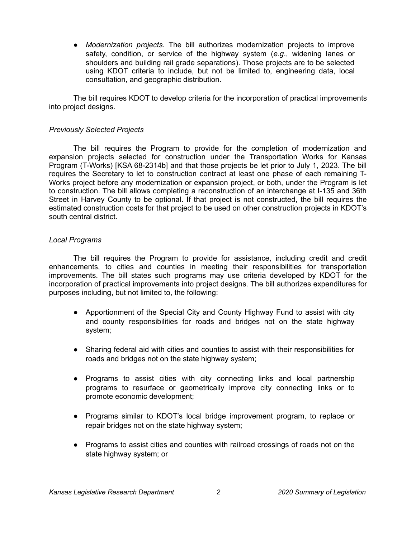● *Modernization projects.* The bill authorizes modernization projects to improve safety, condition, or service of the highway system (*e.g*., widening lanes or shoulders and building rail grade separations). Those projects are to be selected using KDOT criteria to include, but not be limited to, engineering data, local consultation, and geographic distribution.

The bill requires KDOT to develop criteria for the incorporation of practical improvements into project designs.

#### *Previously Selected Projects*

The bill requires the Program to provide for the completion of modernization and expansion projects selected for construction under the Transportation Works for Kansas Program (T-Works) [KSA 68-2314b] and that those projects be let prior to July 1, 2023. The bill requires the Secretary to let to construction contract at least one phase of each remaining T-Works project before any modernization or expansion project, or both, under the Program is let to construction. The bill allows completing a reconstruction of an interchange at I-135 and 36th Street in Harvey County to be optional. If that project is not constructed, the bill requires the estimated construction costs for that project to be used on other construction projects in KDOT's south central district.

### *Local Programs*

The bill requires the Program to provide for assistance, including credit and credit enhancements, to cities and counties in meeting their responsibilities for transportation improvements. The bill states such programs may use criteria developed by KDOT for the incorporation of practical improvements into project designs. The bill authorizes expenditures for purposes including, but not limited to, the following:

- Apportionment of the Special City and County Highway Fund to assist with city and county responsibilities for roads and bridges not on the state highway system;
- Sharing federal aid with cities and counties to assist with their responsibilities for roads and bridges not on the state highway system;
- Programs to assist cities with city connecting links and local partnership programs to resurface or geometrically improve city connecting links or to promote economic development;
- Programs similar to KDOT's local bridge improvement program, to replace or repair bridges not on the state highway system;
- Programs to assist cities and counties with railroad crossings of roads not on the state highway system; or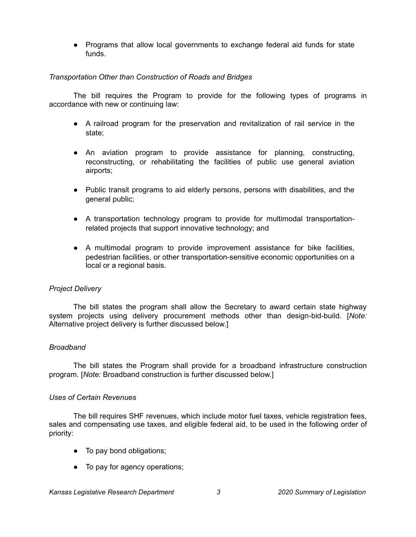● Programs that allow local governments to exchange federal aid funds for state funds.

### *Transportation Other than Construction of Roads and Bridges*

The bill requires the Program to provide for the following types of programs in accordance with new or continuing law:

- A railroad program for the preservation and revitalization of rail service in the state;
- An aviation program to provide assistance for planning, constructing, reconstructing, or rehabilitating the facilities of public use general aviation airports;
- Public transit programs to aid elderly persons, persons with disabilities, and the general public;
- A transportation technology program to provide for multimodal transportationrelated projects that support innovative technology; and
- A multimodal program to provide improvement assistance for bike facilities, pedestrian facilities, or other transportation-sensitive economic opportunities on a local or a regional basis.

## *Project Delivery*

The bill states the program shall allow the Secretary to award certain state highway system projects using delivery procurement methods other than design-bid-build. [*Note:* Alternative project delivery is further discussed below.]

## *Broadband*

The bill states the Program shall provide for a broadband infrastructure construction program. [*Note:* Broadband construction is further discussed below.]

#### *Uses of Certain Revenues*

The bill requires SHF revenues, which include motor fuel taxes, vehicle registration fees, sales and compensating use taxes, and eligible federal aid, to be used in the following order of priority:

- To pay bond obligations;
- To pay for agency operations;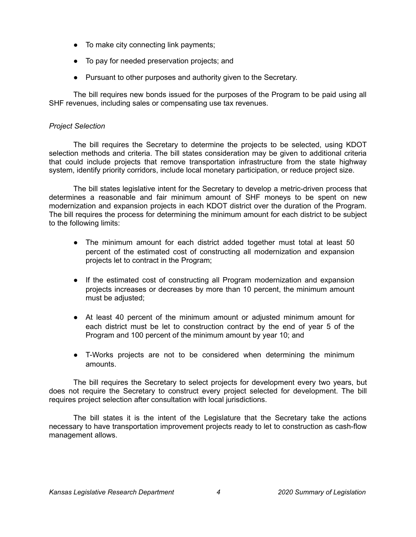- To make city connecting link payments;
- To pay for needed preservation projects; and
- Pursuant to other purposes and authority given to the Secretary.

The bill requires new bonds issued for the purposes of the Program to be paid using all SHF revenues, including sales or compensating use tax revenues.

## *Project Selection*

The bill requires the Secretary to determine the projects to be selected, using KDOT selection methods and criteria. The bill states consideration may be given to additional criteria that could include projects that remove transportation infrastructure from the state highway system, identify priority corridors, include local monetary participation, or reduce project size.

The bill states legislative intent for the Secretary to develop a metric-driven process that determines a reasonable and fair minimum amount of SHF moneys to be spent on new modernization and expansion projects in each KDOT district over the duration of the Program. The bill requires the process for determining the minimum amount for each district to be subject to the following limits:

- The minimum amount for each district added together must total at least 50 percent of the estimated cost of constructing all modernization and expansion projects let to contract in the Program;
- If the estimated cost of constructing all Program modernization and expansion projects increases or decreases by more than 10 percent, the minimum amount must be adjusted;
- At least 40 percent of the minimum amount or adjusted minimum amount for each district must be let to construction contract by the end of year 5 of the Program and 100 percent of the minimum amount by year 10; and
- T-Works projects are not to be considered when determining the minimum amounts.

The bill requires the Secretary to select projects for development every two years, but does not require the Secretary to construct every project selected for development. The bill requires project selection after consultation with local jurisdictions.

The bill states it is the intent of the Legislature that the Secretary take the actions necessary to have transportation improvement projects ready to let to construction as cash-flow management allows.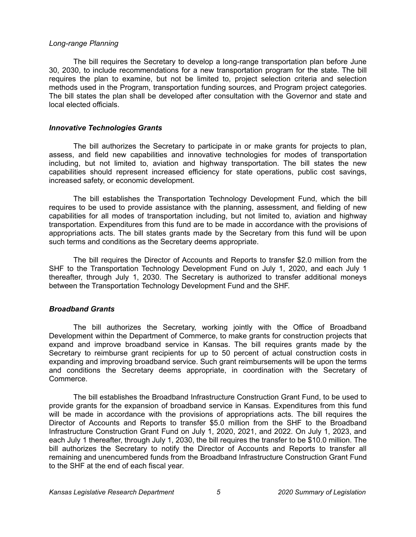#### *Long-range Planning*

The bill requires the Secretary to develop a long-range transportation plan before June 30, 2030, to include recommendations for a new transportation program for the state. The bill requires the plan to examine, but not be limited to, project selection criteria and selection methods used in the Program, transportation funding sources, and Program project categories. The bill states the plan shall be developed after consultation with the Governor and state and local elected officials.

#### *Innovative Technologies Grants*

The bill authorizes the Secretary to participate in or make grants for projects to plan, assess, and field new capabilities and innovative technologies for modes of transportation including, but not limited to, aviation and highway transportation. The bill states the new capabilities should represent increased efficiency for state operations, public cost savings, increased safety, or economic development.

The bill establishes the Transportation Technology Development Fund, which the bill requires to be used to provide assistance with the planning, assessment, and fielding of new capabilities for all modes of transportation including, but not limited to, aviation and highway transportation. Expenditures from this fund are to be made in accordance with the provisions of appropriations acts. The bill states grants made by the Secretary from this fund will be upon such terms and conditions as the Secretary deems appropriate.

The bill requires the Director of Accounts and Reports to transfer \$2.0 million from the SHF to the Transportation Technology Development Fund on July 1, 2020, and each July 1 thereafter, through July 1, 2030. The Secretary is authorized to transfer additional moneys between the Transportation Technology Development Fund and the SHF.

#### *Broadband Grants*

The bill authorizes the Secretary, working jointly with the Office of Broadband Development within the Department of Commerce, to make grants for construction projects that expand and improve broadband service in Kansas. The bill requires grants made by the Secretary to reimburse grant recipients for up to 50 percent of actual construction costs in expanding and improving broadband service. Such grant reimbursements will be upon the terms and conditions the Secretary deems appropriate, in coordination with the Secretary of Commerce.

The bill establishes the Broadband Infrastructure Construction Grant Fund, to be used to provide grants for the expansion of broadband service in Kansas. Expenditures from this fund will be made in accordance with the provisions of appropriations acts. The bill requires the Director of Accounts and Reports to transfer \$5.0 million from the SHF to the Broadband Infrastructure Construction Grant Fund on July 1, 2020, 2021, and 2022. On July 1, 2023, and each July 1 thereafter, through July 1, 2030, the bill requires the transfer to be \$10.0 million. The bill authorizes the Secretary to notify the Director of Accounts and Reports to transfer all remaining and unencumbered funds from the Broadband Infrastructure Construction Grant Fund to the SHF at the end of each fiscal year.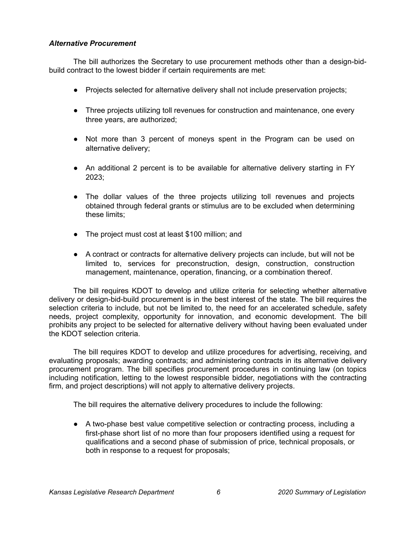## *Alternative Procurement*

The bill authorizes the Secretary to use procurement methods other than a design-bidbuild contract to the lowest bidder if certain requirements are met:

- Projects selected for alternative delivery shall not include preservation projects;
- Three projects utilizing toll revenues for construction and maintenance, one every three years, are authorized;
- Not more than 3 percent of moneys spent in the Program can be used on alternative delivery;
- An additional 2 percent is to be available for alternative delivery starting in FY 2023;
- The dollar values of the three projects utilizing toll revenues and projects obtained through federal grants or stimulus are to be excluded when determining these limits;
- The project must cost at least \$100 million; and
- A contract or contracts for alternative delivery projects can include, but will not be limited to, services for preconstruction, design, construction, construction management, maintenance, operation, financing, or a combination thereof.

The bill requires KDOT to develop and utilize criteria for selecting whether alternative delivery or design-bid-build procurement is in the best interest of the state. The bill requires the selection criteria to include, but not be limited to, the need for an accelerated schedule, safety needs, project complexity, opportunity for innovation, and economic development. The bill prohibits any project to be selected for alternative delivery without having been evaluated under the KDOT selection criteria.

The bill requires KDOT to develop and utilize procedures for advertising, receiving, and evaluating proposals; awarding contracts; and administering contracts in its alternative delivery procurement program. The bill specifies procurement procedures in continuing law (on topics including notification, letting to the lowest responsible bidder, negotiations with the contracting firm, and project descriptions) will not apply to alternative delivery projects.

The bill requires the alternative delivery procedures to include the following:

● A two-phase best value competitive selection or contracting process, including a first-phase short list of no more than four proposers identified using a request for qualifications and a second phase of submission of price, technical proposals, or both in response to a request for proposals;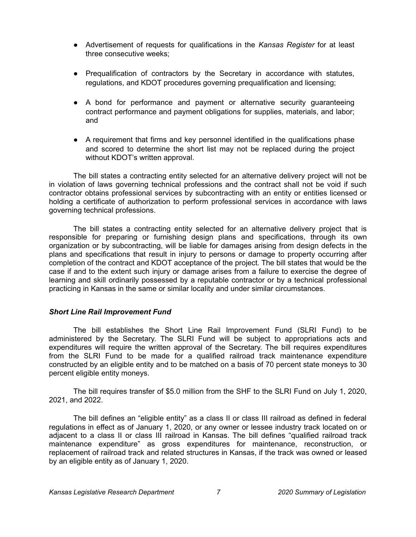- Advertisement of requests for qualifications in the *Kansas Register* for at least three consecutive weeks;
- Prequalification of contractors by the Secretary in accordance with statutes, regulations, and KDOT procedures governing prequalification and licensing;
- A bond for performance and payment or alternative security guaranteeing contract performance and payment obligations for supplies, materials, and labor; and
- A requirement that firms and key personnel identified in the qualifications phase and scored to determine the short list may not be replaced during the project without KDOT's written approval.

The bill states a contracting entity selected for an alternative delivery project will not be in violation of laws governing technical professions and the contract shall not be void if such contractor obtains professional services by subcontracting with an entity or entities licensed or holding a certificate of authorization to perform professional services in accordance with laws governing technical professions.

The bill states a contracting entity selected for an alternative delivery project that is responsible for preparing or furnishing design plans and specifications, through its own organization or by subcontracting, will be liable for damages arising from design defects in the plans and specifications that result in injury to persons or damage to property occurring after completion of the contract and KDOT acceptance of the project. The bill states that would be the case if and to the extent such injury or damage arises from a failure to exercise the degree of learning and skill ordinarily possessed by a reputable contractor or by a technical professional practicing in Kansas in the same or similar locality and under similar circumstances.

## *Short Line Rail Improvement Fund*

The bill establishes the Short Line Rail Improvement Fund (SLRI Fund) to be administered by the Secretary. The SLRI Fund will be subject to appropriations acts and expenditures will require the written approval of the Secretary. The bill requires expenditures from the SLRI Fund to be made for a qualified railroad track maintenance expenditure constructed by an eligible entity and to be matched on a basis of 70 percent state moneys to 30 percent eligible entity moneys.

The bill requires transfer of \$5.0 million from the SHF to the SLRI Fund on July 1, 2020, 2021, and 2022.

The bill defines an "eligible entity" as a class II or class III railroad as defined in federal regulations in effect as of January 1, 2020, or any owner or lessee industry track located on or adjacent to a class II or class III railroad in Kansas. The bill defines "qualified railroad track maintenance expenditure" as gross expenditures for maintenance, reconstruction, or replacement of railroad track and related structures in Kansas, if the track was owned or leased by an eligible entity as of January 1, 2020.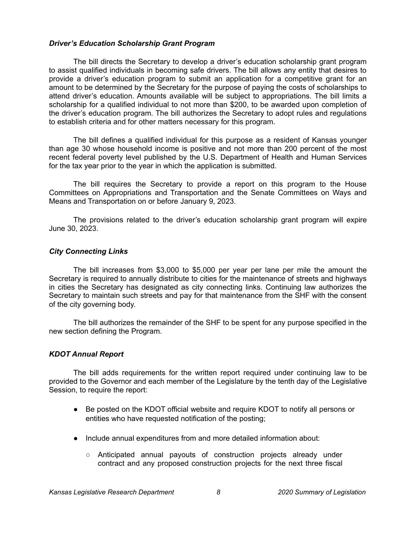#### *Driver's Education Scholarship Grant Program*

The bill directs the Secretary to develop a driver's education scholarship grant program to assist qualified individuals in becoming safe drivers. The bill allows any entity that desires to provide a driver's education program to submit an application for a competitive grant for an amount to be determined by the Secretary for the purpose of paying the costs of scholarships to attend driver's education. Amounts available will be subject to appropriations. The bill limits a scholarship for a qualified individual to not more than \$200, to be awarded upon completion of the driver's education program. The bill authorizes the Secretary to adopt rules and regulations to establish criteria and for other matters necessary for this program.

The bill defines a qualified individual for this purpose as a resident of Kansas younger than age 30 whose household income is positive and not more than 200 percent of the most recent federal poverty level published by the U.S. Department of Health and Human Services for the tax year prior to the year in which the application is submitted.

The bill requires the Secretary to provide a report on this program to the House Committees on Appropriations and Transportation and the Senate Committees on Ways and Means and Transportation on or before January 9, 2023.

The provisions related to the driver's education scholarship grant program will expire June 30, 2023.

### *City Connecting Links*

The bill increases from \$3,000 to \$5,000 per year per lane per mile the amount the Secretary is required to annually distribute to cities for the maintenance of streets and highways in cities the Secretary has designated as city connecting links. Continuing law authorizes the Secretary to maintain such streets and pay for that maintenance from the SHF with the consent of the city governing body.

The bill authorizes the remainder of the SHF to be spent for any purpose specified in the new section defining the Program.

## *KDOT Annual Report*

The bill adds requirements for the written report required under continuing law to be provided to the Governor and each member of the Legislature by the tenth day of the Legislative Session, to require the report:

- Be posted on the KDOT official website and require KDOT to notify all persons or entities who have requested notification of the posting;
- Include annual expenditures from and more detailed information about:
	- Anticipated annual payouts of construction projects already under contract and any proposed construction projects for the next three fiscal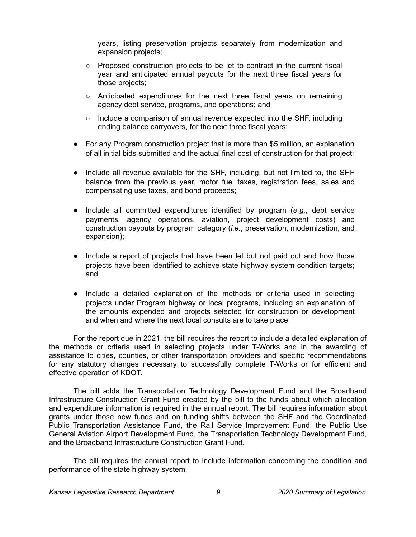years, listing preservation projects separately from modernization and expansion projects;

- Proposed construction projects to be let to contract in the current fiscal year and anticipated annual payouts for the next three fiscal years for those projects;
- $\circ$  Anticipated expenditures for the next three fiscal years on remaining agency debt service, programs, and operations; and
- Include a comparison of annual revenue expected into the SHF, including ending balance carryovers, for the next three fiscal years;
- For any Program construction project that is more than \$5 million, an explanation of all initial bids submitted and the actual final cost of construction for that project;
- Include all revenue available for the SHF, including, but not limited to, the SHF balance from the previous year, motor fuel taxes, registration fees, sales and compensating use taxes, and bond proceeds;
- Include all committed expenditures identified by program (*e.g.*, debt service payments, agency operations, aviation, project development costs) and construction payouts by program category (*i.e.*, preservation, modernization, and expansion);
- Include a report of projects that have been let but not paid out and how those projects have been identified to achieve state highway system condition targets; and
- Include a detailed explanation of the methods or criteria used in selecting projects under Program highway or local programs, including an explanation of the amounts expended and projects selected for construction or development and when and where the next local consults are to take place.

For the report due in 2021, the bill requires the report to include a detailed explanation of the methods or criteria used in selecting projects under T-Works and in the awarding of assistance to cities, counties, or other transportation providers and specific recommendations for any statutory changes necessary to successfully complete T-Works or for efficient and effective operation of KDOT.

The bill adds the Transportation Technology Development Fund and the Broadband Infrastructure Construction Grant Fund created by the bill to the funds about which allocation and expenditure information is required in the annual report. The bill requires information about grants under those new funds and on funding shifts between the SHF and the Coordinated Public Transportation Assistance Fund, the Rail Service Improvement Fund, the Public Use General Aviation Airport Development Fund, the Transportation Technology Development Fund, and the Broadband Infrastructure Construction Grant Fund.

The bill requires the annual report to include information concerning the condition and performance of the state highway system.